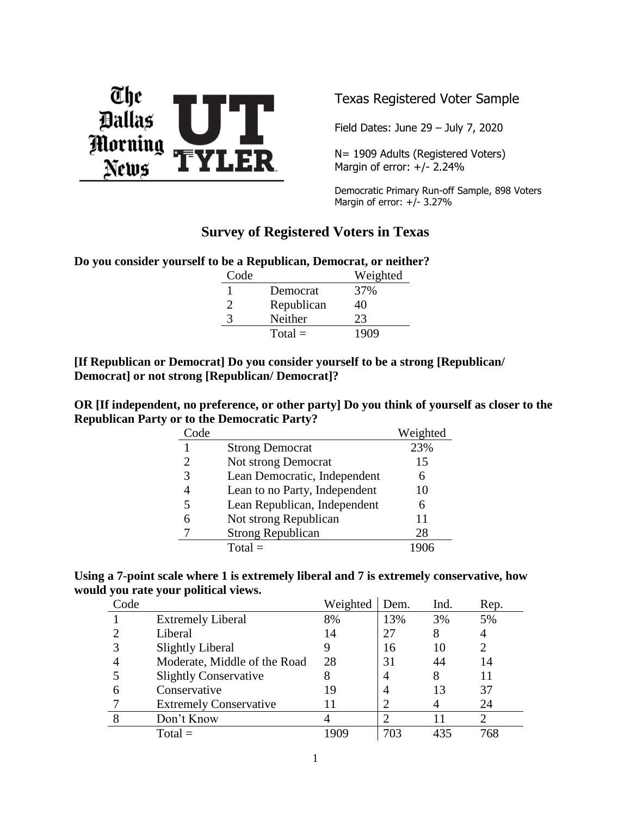

Texas Registered Voter Sample

Field Dates: June 29 – July 7, 2020

N= 1909 Adults (Registered Voters) Margin of error: +/- 2.24%

Democratic Primary Run-off Sample, 898 Voters Margin of error:  $+/- 3.27%$ 

# **Survey of Registered Voters in Texas**

**Do you consider yourself to be a Republican, Democrat, or neither?**

| Code |            | Weighted |
|------|------------|----------|
|      | Democrat   | 37%      |
| 2    | Republican | 40       |
| 3    | Neither    | 23       |
|      | $Total =$  | 1909     |

**[If Republican or Democrat] Do you consider yourself to be a strong [Republican/ Democrat] or not strong [Republican/ Democrat]?**

**OR [If independent, no preference, or other party] Do you think of yourself as closer to the Republican Party or to the Democratic Party?**

| Code |                               | Weighted |
|------|-------------------------------|----------|
|      | <b>Strong Democrat</b>        | 23%      |
| 2    | Not strong Democrat           | 15       |
| 3    | Lean Democratic, Independent  | 6        |
|      | Lean to no Party, Independent | 10       |
| 5    | Lean Republican, Independent  | 6        |
| 6    | Not strong Republican         | 11       |
|      | <b>Strong Republican</b>      | 28       |
|      | $Total =$                     |          |

| Using a 7-point scale where 1 is extremely liberal and 7 is extremely conservative, how |  |  |
|-----------------------------------------------------------------------------------------|--|--|
| would you rate your political views.                                                    |  |  |

| Code |                               | Weighted | Dem. | Ind. | Rep. |
|------|-------------------------------|----------|------|------|------|
|      | <b>Extremely Liberal</b>      | 8%       | 13%  | 3%   | 5%   |
|      | Liberal                       | 14       | 27   |      | 4    |
|      | <b>Slightly Liberal</b>       |          | 16   | 10   | 2    |
|      | Moderate, Middle of the Road  | 28       | 31   | 44   | 14   |
|      | <b>Slightly Conservative</b>  | 8        | 4    | 8    |      |
|      | Conservative                  | 19       | 4    | 13   | 37   |
|      | <b>Extremely Conservative</b> |          |      |      | 24   |
|      | Don't Know                    |          |      |      |      |
|      | $Total =$                     |          | 703  | 435  | 768  |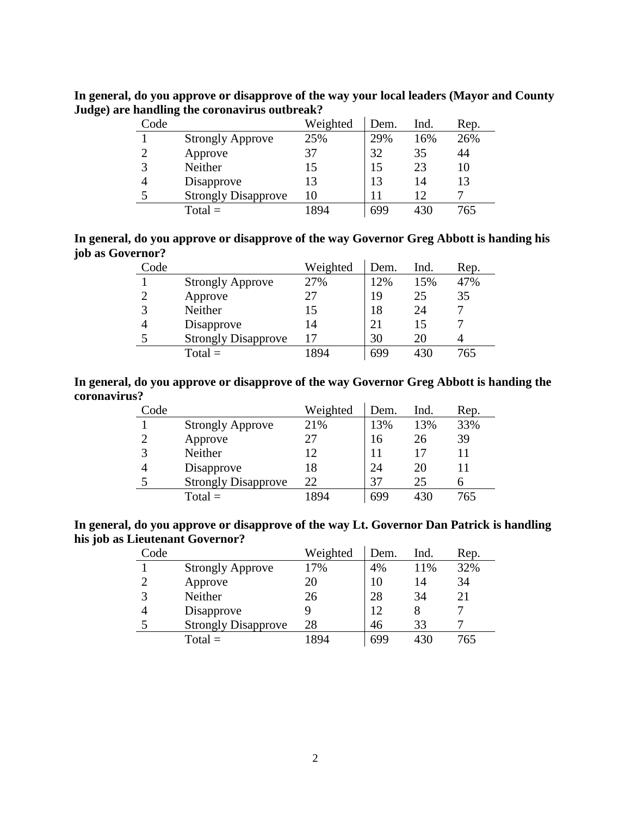| Code |                            | Weighted | Dem. | Ind. | Rep. |
|------|----------------------------|----------|------|------|------|
|      | <b>Strongly Approve</b>    | 25%      | 29%  | 16%  | 26%  |
| っ    | Approve                    | 37       | 32   | 35   | 44   |
| 3    | Neither                    | 15       | 15   | 23   | 10   |
| 4    | Disapprove                 | 13       | 13   | 14   | 13   |
| 5    | <b>Strongly Disapprove</b> | 10       | 11   | 12   |      |
|      | $Total =$                  | 1894     | 699  | 430  | 765  |

**In general, do you approve or disapprove of the way your local leaders (Mayor and County Judge) are handling the coronavirus outbreak?**

| In general, do you approve or disapprove of the way Governor Greg Abbott is handing his |  |  |
|-----------------------------------------------------------------------------------------|--|--|
| job as Governor?                                                                        |  |  |

| Code |                            | Weighted | Dem. | Ind. | Rep. |
|------|----------------------------|----------|------|------|------|
|      | <b>Strongly Approve</b>    | 27%      | 12%  | 15%  | 47%  |
|      | Approve                    |          | 19   | 25   | 35   |
| 2    | Neither                    |          | 18   | 24   |      |
| 4    | Disapprove                 | 14       | 21   | 15   |      |
| 5    | <b>Strongly Disapprove</b> |          | 30   | 20   |      |
|      | $Total =$                  | 894      | 699  | 430  | 765  |

# **In general, do you approve or disapprove of the way Governor Greg Abbott is handing the coronavirus?**

| Code |                            | Weighted | Dem. | Ind. | Rep. |
|------|----------------------------|----------|------|------|------|
|      | <b>Strongly Approve</b>    | 21%      | 13%  | 13%  | 33%  |
|      | Approve                    | 27       | 16   | 26   | 39   |
|      | Neither                    | 12       | 11   |      | 11   |
|      | Disapprove                 | 18       | 24   | 20   | 11   |
|      | <b>Strongly Disapprove</b> | 22       | 37   | 25   |      |
|      | $Total =$                  | 1894     | 699  | 430  | 765  |

**In general, do you approve or disapprove of the way Lt. Governor Dan Patrick is handling his job as Lieutenant Governor?**

| Code |                            | Weighted | Dem. | Ind. | Rep. |
|------|----------------------------|----------|------|------|------|
|      | <b>Strongly Approve</b>    | 17%      | 4%   | 11%  | 32%  |
|      | Approve                    | 20       | 10   | 14   | 34   |
|      | Neither                    | 26       | 28   | 34   | 21   |
|      | Disapprove                 |          | 12   |      |      |
|      | <b>Strongly Disapprove</b> | 28       | 46   | 33   |      |
|      | $Total =$                  | 1894     | 699  | 430  | 765  |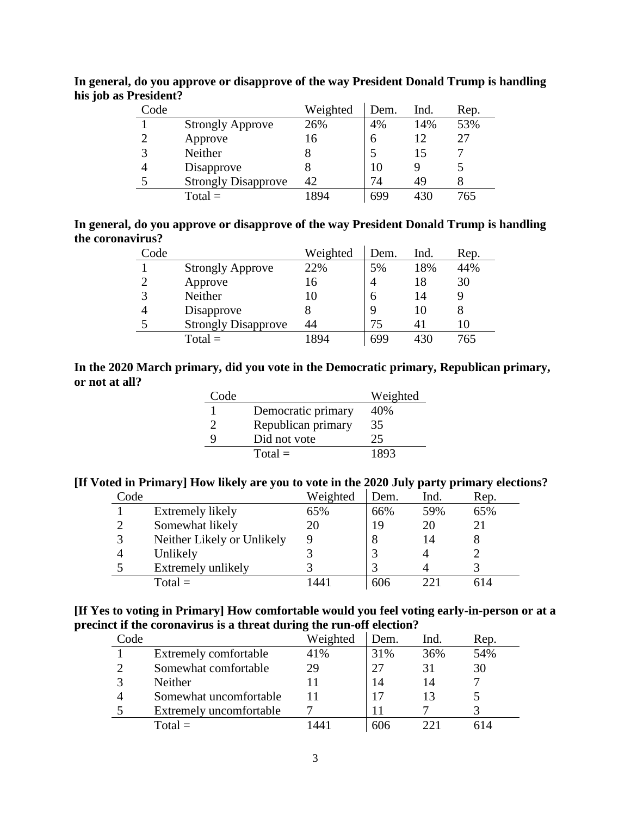| Code |                            | Weighted | Dem. | Ind. | Rep. |
|------|----------------------------|----------|------|------|------|
|      | <b>Strongly Approve</b>    | 26%      | 4%   | 14%  | 53%  |
| ာ    | Approve                    | 16       | 6    | 12   | 27   |
| 3    | Neither                    |          |      | 15   |      |
| 4    | Disapprove                 | δ        | 10   |      |      |
|      | <b>Strongly Disapprove</b> | 42       | 74   | 49   |      |
|      | $Total =$                  | 894      | 699  | 430  | 765  |

**In general, do you approve or disapprove of the way President Donald Trump is handling his job as President?**

**In general, do you approve or disapprove of the way President Donald Trump is handling the coronavirus?**

| Code           |                            | Weighted | Dem. | Ind. | Rep. |
|----------------|----------------------------|----------|------|------|------|
|                | <b>Strongly Approve</b>    | 22%      | 5%   | 18%  | 44%  |
| $\overline{2}$ | Approve                    | 16       |      | 18   | 30   |
| 3              | Neither                    | 10       | h    | 14   |      |
|                | Disapprove                 |          |      | 10   |      |
|                | <b>Strongly Disapprove</b> | 44       | 75   |      |      |
|                | $Total =$                  | 1894     | 699  | 430  | 765  |

### **In the 2020 March primary, did you vote in the Democratic primary, Republican primary, or not at all?**

| Code |                    | Weighted     |
|------|--------------------|--------------|
|      | Democratic primary | 40%          |
| 2    | Republican primary | 35           |
| 9    | Did not vote       | $25^{\circ}$ |
|      | $Total =$          | 1893         |

### **[If Voted in Primary] How likely are you to vote in the 2020 July party primary elections?**

| Code |                            | Weighted | Dem. | Ind. | Rep. |
|------|----------------------------|----------|------|------|------|
|      | Extremely likely           | 65%      | 66%  | 59%  | 65%  |
|      | Somewhat likely            | 20       | 19   | 20   |      |
|      | Neither Likely or Unlikely |          |      | 14   |      |
|      | Unlikely                   |          |      |      |      |
|      | Extremely unlikely         |          |      |      |      |
|      | $Total =$                  |          | 606  |      |      |

# **[If Yes to voting in Primary] How comfortable would you feel voting early-in-person or at a precinct if the coronavirus is a threat during the run-off election?**

| Code |                         | Weighted | Dem. | Ind. | Rep. |
|------|-------------------------|----------|------|------|------|
|      | Extremely comfortable   | 41%      | 31%  | 36%  | 54%  |
|      | Somewhat comfortable    | 29       | 27   | 31   | 30   |
|      | <b>Neither</b>          |          | 14   | 14   |      |
|      | Somewhat uncomfortable  |          | 17   |      |      |
|      | Extremely uncomfortable |          |      |      |      |
|      | $Total =$               |          | 606  |      |      |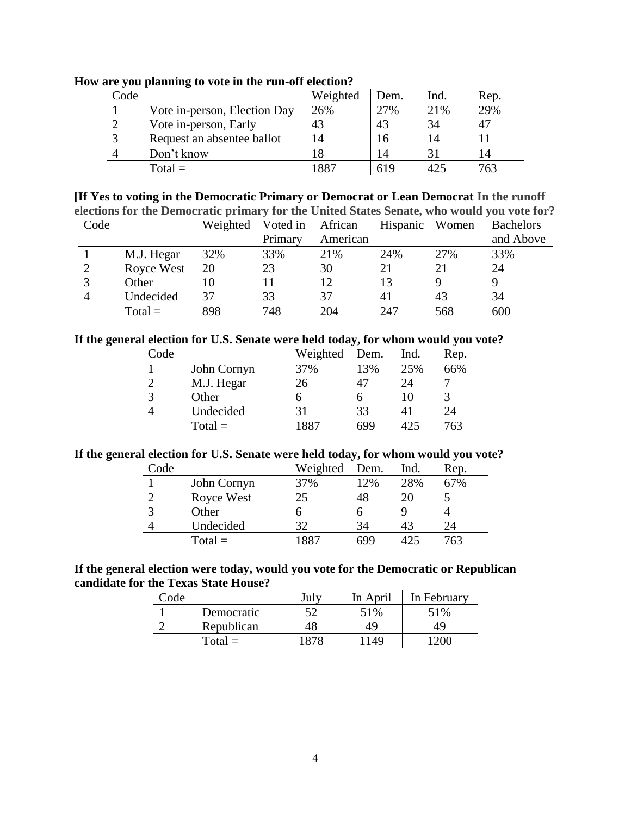| Code |                              | Weighted | Dem. | Ind. | Rep. |
|------|------------------------------|----------|------|------|------|
|      | Vote in-person, Election Day | 26%      | 27%  | 21%  | 29%  |
|      | Vote in-person, Early        | 43       | 43   | 34   | 47   |
|      | Request an absentee ballot   | 14       | 16   | 14   |      |
|      | Don't know                   |          | 14   |      |      |
|      | $Total =$                    | 1887     | 619  |      | 763  |

**How are you planning to vote in the run-off election?**

**[If Yes to voting in the Democratic Primary or Democrat or Lean Democrat In the runoff elections for the Democratic primary for the United States Senate, who would you vote for?**

| Code |            | Weighted | Voted in African |          | Hispanic Women |     | <b>Bachelors</b> |
|------|------------|----------|------------------|----------|----------------|-----|------------------|
|      |            |          | Primary          | American |                |     | and Above        |
|      | M.J. Hegar | 32%      | 33%              | 21%      | 24%            | 27% | 33%              |
|      | Royce West | 20       | 23               | 30       | 21             |     | 24               |
|      | Other      | 10       |                  | 12       | 13             |     |                  |
|      | Undecided  | 37       | 33               | 37       | 41             | 43  | 34               |
|      | $Total =$  | 898      | 748              | 204      | 247            | 568 | 600              |

#### **If the general election for U.S. Senate were held today, for whom would you vote?**

| Code |             | Weighted | Dem. | Ind. | Rep. |
|------|-------------|----------|------|------|------|
|      | John Cornyn | 37%      | 13%  | 25%  | 66%  |
| っ    | M.J. Hegar  | 26       | 47   | 24   |      |
| 3    | Other       | Ο        |      |      |      |
| 4    | Undecided   | 31       | 33   |      | 24   |
|      | $Total =$   | 1881     | 699  | 125  | 763  |

#### **If the general election for U.S. Senate were held today, for whom would you vote?**

| Code |             | Weighted | Dem. | Ind. | Rep. |
|------|-------------|----------|------|------|------|
|      | John Cornyn | 37%      | 12%  | 28%  | 67%  |
|      | Royce West  | 25       | 48   | 20   |      |
| 3    | Other       |          | 6    |      |      |
|      | Undecided   | 32       | 34   | 43   | 24   |
|      | $Total =$   | 887      | 699  | 425  | 763  |

# **If the general election were today, would you vote for the Democratic or Republican candidate for the Texas State House?**

| Code |            | July | In April | In February |
|------|------------|------|----------|-------------|
|      | Democratic | 52   | 51%      | 51%         |
| ⌒    | Republican | 48   | 49       | 49          |
|      | $Total =$  | 1878 | 1149     | '200        |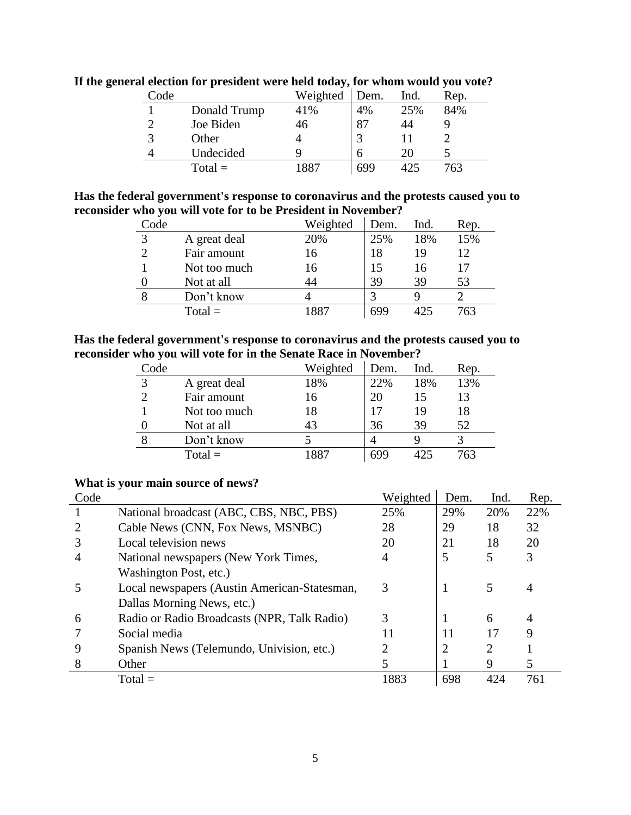| Code |              | Weighted | Dem. | Ind. | Rep. |
|------|--------------|----------|------|------|------|
|      | Donald Trump | 41%      | 4%   | 25%  | 84%  |
|      | Joe Biden    | 46       | 87   |      |      |
|      | Other        |          |      |      |      |
|      | Undecided    | Q        | h    | 20   |      |
|      | $Total =$    | 1887     | 699  | 425  | 763  |

**If the general election for president were held today, for whom would you vote?**

**Has the federal government's response to coronavirus and the protests caused you to reconsider who you will vote for to be President in November?**

| Code        |              | Weighted | Dem. | Ind. | Rep. |
|-------------|--------------|----------|------|------|------|
| $\mathbf 3$ | A great deal | 20%      | 25%  | 18%  | 15%  |
|             | Fair amount  | 16       | 18   | 19   | 12   |
|             | Not too much | 16       | 15   | 16   | 17   |
|             | Not at all   | 44       | 39   | 39   | 53   |
|             | Don't know   |          |      |      |      |
|             | $Total =$    | 1881     | 699  | 425  | 763  |

**Has the federal government's response to coronavirus and the protests caused you to reconsider who you will vote for in the Senate Race in November?**

| Code |              | Weighted | Dem. | Ind.           | Rep. |
|------|--------------|----------|------|----------------|------|
| 2    | A great deal | 18%      | 22%  | 18%            | 13%  |
|      | Fair amount  | 16       | 20   | $\overline{1}$ | 13   |
|      | Not too much | 18       |      | 19             | 18   |
|      | Not at all   | 43       | 36   | 39             | 52   |
|      | Don't know   |          |      |                |      |
|      | $Total =$    | 887      | 699  | 425            | 763  |

# **What is your main source of news?**

| Code |                                              | Weighted | Dem. | Ind. | Rep. |
|------|----------------------------------------------|----------|------|------|------|
|      | National broadcast (ABC, CBS, NBC, PBS)      | 25%      | 29%  | 20%  | 22%  |
|      | Cable News (CNN, Fox News, MSNBC)            | 28       | 29   | 18   | 32   |
|      | Local television news                        | 20       | 21   | 18   | 20   |
| 4    | National newspapers (New York Times,         | 4        | 5    |      | 3    |
|      | Washington Post, etc.)                       |          |      |      |      |
|      | Local newspapers (Austin American-Statesman, | 3        |      |      | 4    |
|      | Dallas Morning News, etc.)                   |          |      |      |      |
| 6    | Radio or Radio Broadcasts (NPR, Talk Radio)  | 3        |      | 6    | 4    |
|      | Social media                                 | 11       | 11   | 17   | 9    |
| 9    | Spanish News (Telemundo, Univision, etc.)    |          | 2    | 2    |      |
| 8    | Other                                        |          |      | 9    | 5    |
|      | $Total =$                                    | 1883     | 698  | 424  | 761  |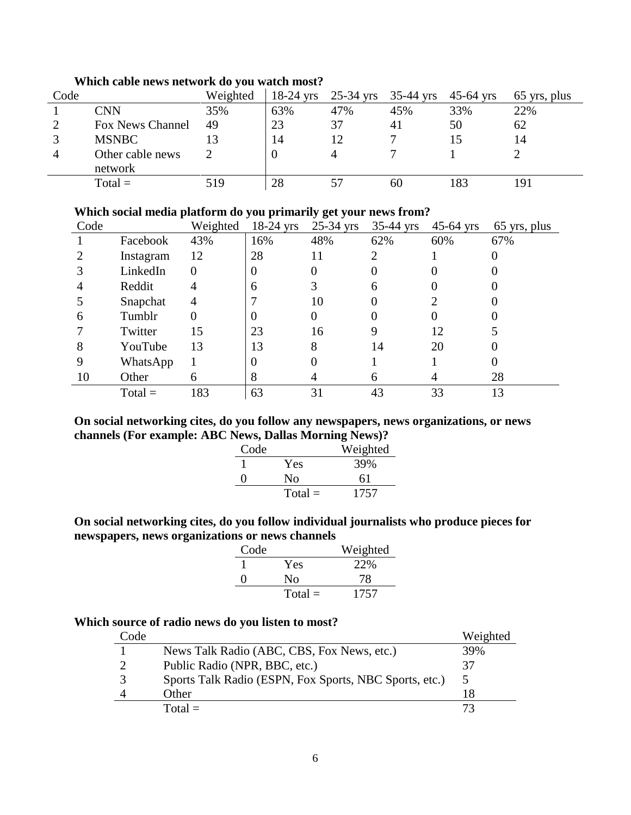| Code |                         | Weighted | $18-24$ yrs | $25-34$ yrs | 35-44 yrs | $45 - 64$ yrs | 65 yrs, plus |
|------|-------------------------|----------|-------------|-------------|-----------|---------------|--------------|
|      | CNN                     | 35%      | 63%         | 47%         | 45%       | 33%           | 22%          |
|      | <b>Fox News Channel</b> | 49       | 23          | 37          | 41        | 50            | 62           |
|      | <b>MSNBC</b>            |          | 14          | 12          |           |               | 14           |
| 4    | Other cable news        |          |             |             |           |               |              |
|      | network                 |          |             |             |           |               |              |
|      | $Total =$               | 519      | 28          |             | 60        |               | 191          |

# **Which cable news network do you watch most?**

# **Which social media platform do you primarily get your news from?**

| Code |           | Weighted | $18-24$ yrs | $25-34$ yrs | $35-44$ yrs | $45-64$ yrs | 65 yrs, plus |
|------|-----------|----------|-------------|-------------|-------------|-------------|--------------|
|      | Facebook  | 43%      | 16%         | 48%         | 62%         | 60%         | 67%          |
|      | Instagram | 12       | 28          | 11          |             |             |              |
|      | LinkedIn  | 0        | $\Omega$    |             |             |             |              |
|      | Reddit    | 4        | 6           |             | 6           |             |              |
|      | Snapchat  | 4        |             | 10          | 0           |             |              |
| 6    | Tumblr    |          | $\theta$    |             |             |             |              |
|      | Twitter   | 15       | 23          | 16          | 9           | 12          |              |
| 8    | YouTube   | 13       | 13          | 8           | 14          | 20          |              |
|      | WhatsApp  |          | $\theta$    |             |             |             |              |
| 10   | Other     | 6        | 8           |             | 6           |             | 28           |
|      | $Total =$ | 183      | 63          | 31          | 43          | 33          | 13           |

# **On social networking cites, do you follow any newspapers, news organizations, or news channels (For example: ABC News, Dallas Morning News)?**

| Code              |           | Weighted |
|-------------------|-----------|----------|
|                   | Yes       | 39%      |
| $\mathbf{\Omega}$ | Nο        | 61       |
|                   | $Total =$ | 1757     |

# **On social networking cites, do you follow individual journalists who produce pieces for newspapers, news organizations or news channels**

| Code              |           | Weighted |
|-------------------|-----------|----------|
|                   | Yes       | 22%      |
| $\mathbf{\Omega}$ | Nο        | 78       |
|                   | $Total =$ | 1757     |

# **Which source of radio news do you listen to most?**

| Code |                                                        | Weighted |
|------|--------------------------------------------------------|----------|
|      | News Talk Radio (ABC, CBS, Fox News, etc.)             | 39%      |
|      | Public Radio (NPR, BBC, etc.)                          | 37       |
|      | Sports Talk Radio (ESPN, Fox Sports, NBC Sports, etc.) |          |
|      | Other                                                  | 18       |
|      | $Total =$                                              |          |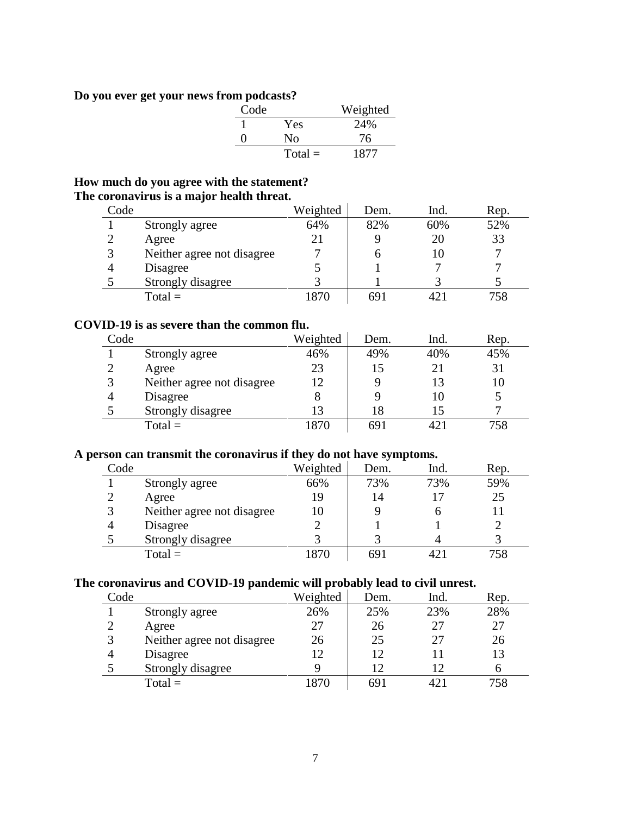# **Do you ever get your news from podcasts?**

| Code              |           | Weighted |
|-------------------|-----------|----------|
|                   | Yes       | 24%      |
| $\mathbf{\Omega}$ | Nο        | 76       |
|                   | $Total =$ | 1877     |

# **How much do you agree with the statement? The coronavirus is a major health threat.**

| Code |                            | Weighted | Dem. | Ind. | Rep. |
|------|----------------------------|----------|------|------|------|
|      | Strongly agree             | 64%      | 82%  | 60%  | 52%  |
|      | Agree                      | 21       |      | 20   | 33   |
|      | Neither agree not disagree |          |      |      |      |
|      | Disagree                   |          |      |      |      |
|      | Strongly disagree          |          |      |      |      |
|      | $Total =$                  | 870      | 691  |      | 758  |

# **COVID-19 is as severe than the common flu.**

| Code         |                            | Weighted                  | Dem. | Ind. | Rep. |
|--------------|----------------------------|---------------------------|------|------|------|
|              | Strongly agree             | 46%                       | 49%  | 40%  | 45%  |
|              | Agree                      | 23                        | 15   |      | 31   |
| $\mathbf{z}$ | Neither agree not disagree | 12                        |      |      | 10   |
|              | Disagree                   | 8                         |      |      |      |
|              | Strongly disagree          | $\mathsf{I}^{\mathsf{3}}$ | 18   |      |      |
|              | $Total =$                  | 870                       | 691  |      | 758  |

# **A person can transmit the coronavirus if they do not have symptoms.**

| Code |                            | Weighted | Dem. | Ind. | Rep. |
|------|----------------------------|----------|------|------|------|
|      | Strongly agree             | 66%      | 73%  | 73%  | 59%  |
|      | Agree                      | 19       | 14   |      | 25   |
|      | Neither agree not disagree | 10       |      |      |      |
|      | Disagree                   |          |      |      |      |
|      | Strongly disagree          |          |      |      |      |
|      | $Total =$                  | '870     | 691  |      |      |

# **The coronavirus and COVID-19 pandemic will probably lead to civil unrest.**

| Code |                            | Weighted | Dem. | Ind. | Rep. |
|------|----------------------------|----------|------|------|------|
|      | Strongly agree             | 26%      | 25%  | 23%  | 28%  |
|      | Agree                      | 27       | 26   | 27   | 27   |
|      | Neither agree not disagree | 26       | 25   | 27   | 26   |
|      | Disagree                   | 12       | 12   |      | 13   |
|      | Strongly disagree          |          | 12   |      |      |
|      | $Total =$                  | 870      | 691  |      | 758  |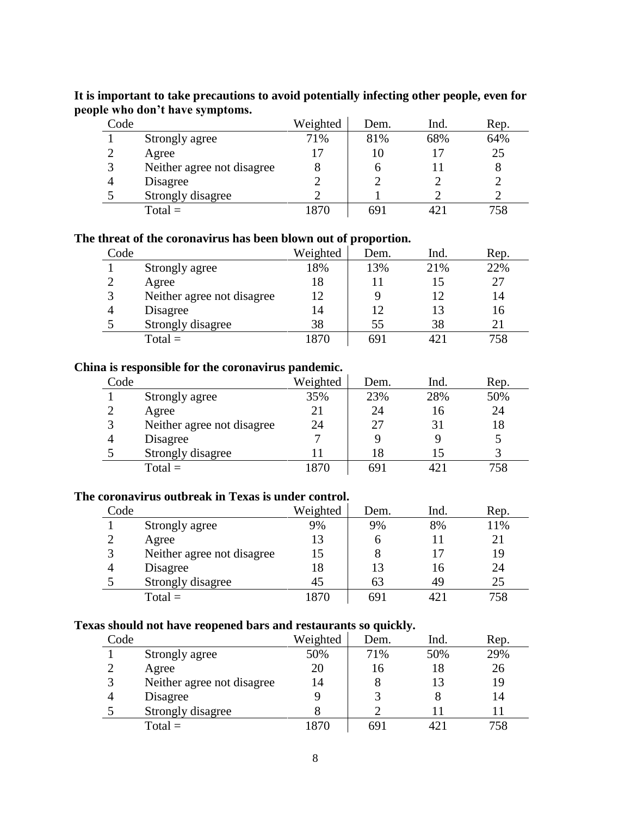| Code |                            | Weighted | Dem. | Ind. | Rep. |
|------|----------------------------|----------|------|------|------|
|      | Strongly agree             | 71%      | 81%  | 68%  | 64%  |
|      | Agree                      |          | 10   |      | 25   |
| 3    | Neither agree not disagree |          | O    |      |      |
|      | Disagree                   |          |      |      |      |
|      | Strongly disagree          |          |      |      |      |
|      | $Total =$                  | 1870     | 691  |      |      |

# **It is important to take precautions to avoid potentially infecting other people, even for people who don't have symptoms.**

### **The threat of the coronavirus has been blown out of proportion.**

| Code           |                            | Weighted | $\overline{\phantom{a}}$<br>Dem. | Ind. | Rep. |
|----------------|----------------------------|----------|----------------------------------|------|------|
|                | Strongly agree             | 18%      | 13%                              | 21%  | 22%  |
| $\overline{2}$ | Agree                      | 18       |                                  |      | 27   |
|                | Neither agree not disagree | 12       |                                  |      | 14   |
| Δ              | Disagree                   | 14       | 12                               |      | 16   |
|                | Strongly disagree          | 38       | 55                               | 38   | 21   |
|                | $Total =$                  | 870      | 691                              |      | 758  |

#### **China is responsible for the coronavirus pandemic.**

| Code |                            | Weighted | Dem. | Ind. | Rep. |
|------|----------------------------|----------|------|------|------|
|      | Strongly agree             | 35%      | 23%  | 28%  | 50%  |
|      | Agree                      | 21       | 24   | 16   | 24   |
|      | Neither agree not disagree | 24       | 27   |      | 18   |
|      | Disagree                   |          |      |      |      |
|      | Strongly disagree          |          | 18   |      |      |
|      | $Total =$                  | 1870     | 691  |      | 758  |

#### **The coronavirus outbreak in Texas is under control.**

| Code |                            | Weighted | Dem. | Ind. | Rep. |
|------|----------------------------|----------|------|------|------|
|      | Strongly agree             | 9%       | 9%   | 8%   | 11%  |
|      | Agree                      | 13       | n    |      |      |
| 3    | Neither agree not disagree | 15       | 8    |      | 19   |
| 4    | Disagree                   | 18       | 13   | 16   | 24   |
|      | Strongly disagree          | 45       | 63   | 49   | 25   |
|      | $Total =$                  | 1870     | 691  | 421  | 758  |

# **Texas should not have reopened bars and restaurants so quickly.**

| Code          |                            | Weighted | Dem. | Ind. | Rep. |
|---------------|----------------------------|----------|------|------|------|
|               | Strongly agree             | 50%      | 71%  | 50%  | 29%  |
| $\mathcal{D}$ | Agree                      | 20       | 16   | 18   | 26   |
| 3             | Neither agree not disagree | 14       | 8    | 13   | 19   |
| 4             | Disagree                   |          |      |      | 14   |
|               | Strongly disagree          |          |      |      |      |
|               | $Total =$                  | 1870     | 691  |      | 758  |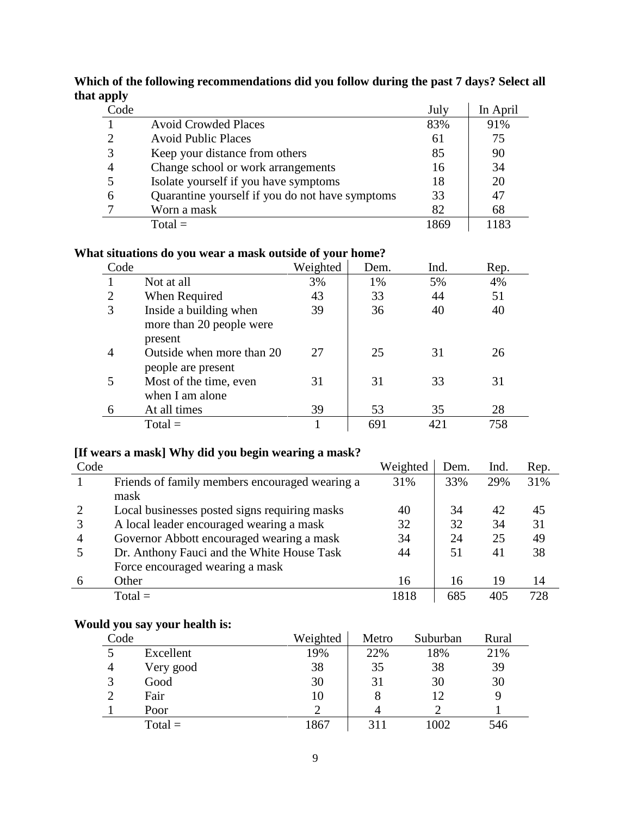| .<br>Code |                                                 | July | In April |
|-----------|-------------------------------------------------|------|----------|
|           | <b>Avoid Crowded Places</b>                     | 83%  | 91%      |
| ◠         | <b>Avoid Public Places</b>                      | 61   | 75       |
| 3         | Keep your distance from others                  | 85   | 90       |
| 4         | Change school or work arrangements              | 16   | 34       |
|           | Isolate yourself if you have symptoms           | 18   | 20       |
| 6         | Quarantine yourself if you do not have symptoms | 33   | 47       |
|           | Worn a mask                                     | 82   | 68       |
|           | $Total =$                                       | 1869 | 1183     |

# **Which of the following recommendations did you follow during the past 7 days? Select all that apply**

# **What situations do you wear a mask outside of your home?**

| Code |                           | Weighted | Dem. | Ind. | Rep. |
|------|---------------------------|----------|------|------|------|
|      | Not at all                | 3%       | 1%   | 5%   | 4%   |
| 2    | When Required             | 43       | 33   | 44   | 51   |
| 3    | Inside a building when    | 39       | 36   | 40   | 40   |
|      | more than 20 people were  |          |      |      |      |
|      | present                   |          |      |      |      |
|      | Outside when more than 20 | 27       | 25   | 31   | 26   |
|      | people are present        |          |      |      |      |
|      | Most of the time, even    | 31       | 31   | 33   | 31   |
|      | when I am alone           |          |      |      |      |
|      | At all times              | 39       | 53   | 35   | 28   |
|      | $Total =$                 |          | 691  | 421  | 758  |

# **[If wears a mask] Why did you begin wearing a mask?**

| Code |                                                | Weighted | Dem. | Ind. | Rep. |
|------|------------------------------------------------|----------|------|------|------|
|      | Friends of family members encouraged wearing a | 31%      | 33%  | 29%  | 31%  |
|      | mask                                           |          |      |      |      |
|      | Local businesses posted signs requiring masks  | 40       | 34   | 42   | 45   |
|      | A local leader encouraged wearing a mask       | 32       | 32   | 34   | 31   |
| 4    | Governor Abbott encouraged wearing a mask      | 34       | 24   | 25   | 49   |
|      | Dr. Anthony Fauci and the White House Task     | 44       | 51   | 41   | 38   |
|      | Force encouraged wearing a mask                |          |      |      |      |
|      | Other                                          | 16       | 16   | 19   | 14   |
|      | $Total =$                                      | 1818     | 685  | 405  | 728  |

# **Would you say your health is:**

| Code           |           | Weighted | Metro | Suburban | Rural |
|----------------|-----------|----------|-------|----------|-------|
|                | Excellent | 19%      | 22%   | 18%      | 21%   |
| $\overline{4}$ | Very good | 38       | 35    | 38       | 39    |
| 3              | Good      | 30       | 31    | 30       | 30    |
| ◠              | Fair      | 10       |       |          | 9     |
|                | Poor      | ∍        |       |          |       |
|                | $Total =$ | 1867     | 311   | 1002     | 546   |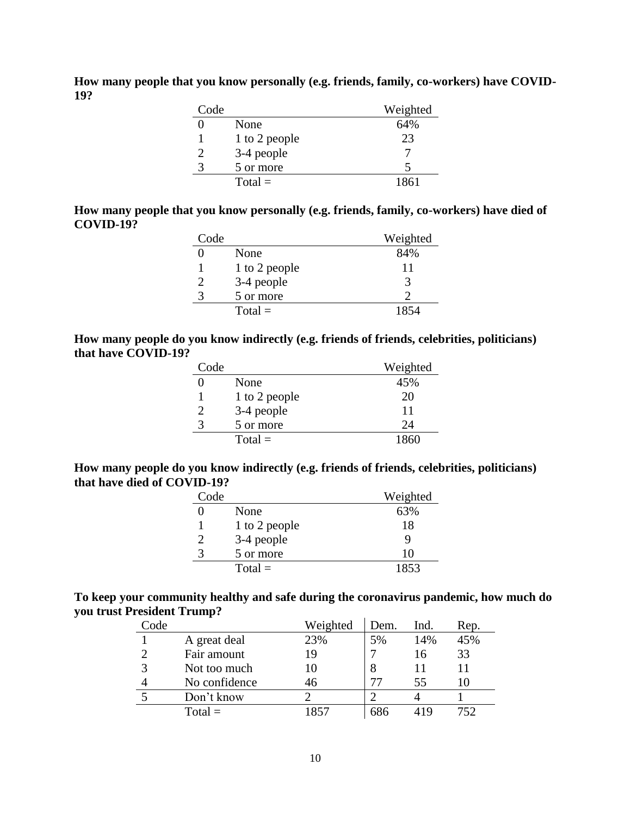**How many people that you know personally (e.g. friends, family, co-workers) have COVID-19?**

| Code |               | Weighted |
|------|---------------|----------|
|      | None          | 64%      |
|      | 1 to 2 people | 23       |
|      | 3-4 people    |          |
| 3    | 5 or more     |          |
|      | $Total =$     | 1861     |

#### **How many people that you know personally (e.g. friends, family, co-workers) have died of COVID-19?**

| Code |               | Weighted |
|------|---------------|----------|
|      | None          | 84%      |
|      | 1 to 2 people | 11       |
|      | 3-4 people    | 3        |
|      | 5 or more     |          |
|      | $Total =$     | 1854     |

**How many people do you know indirectly (e.g. friends of friends, celebrities, politicians) that have COVID-19?**

| Code |               | Weighted |
|------|---------------|----------|
|      | None          | 45%      |
|      | 1 to 2 people | 20       |
|      | 3-4 people    | 11       |
|      | 5 or more     | 24       |
|      | $Total =$     | 1860     |

**How many people do you know indirectly (e.g. friends of friends, celebrities, politicians) that have died of COVID-19?**

| Code |               | Weighted |
|------|---------------|----------|
|      | None          | 63%      |
|      | 1 to 2 people | 18       |
|      | 3-4 people    |          |
|      | 5 or more     | 10       |
|      | $Total =$     | 1853     |

# **To keep your community healthy and safe during the coronavirus pandemic, how much do you trust President Trump?**

| Code |               | Weighted | Dem. | Ind.  | Rep. |
|------|---------------|----------|------|-------|------|
|      | A great deal  | 23%      | 5%   | 14%   | 45%  |
|      | Fair amount   | 19       |      | 16    | 33   |
|      | Not too much  | 10       |      |       |      |
|      | No confidence | 46       |      | 55    |      |
|      | Don't know    |          |      |       |      |
|      | $Total =$     | 1857     |      | 1 I Y | 752. |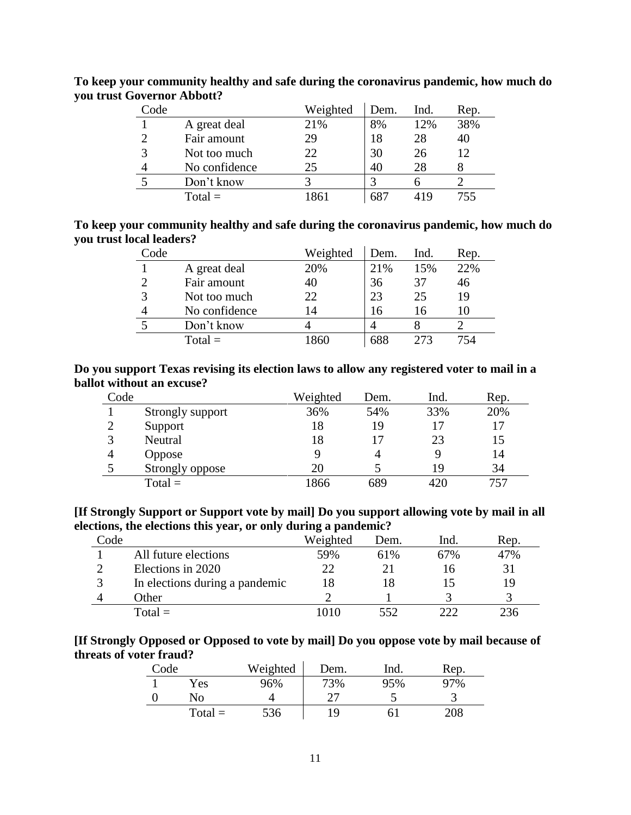| Code |               | Weighted | Dem. | Ind. | Rep. |
|------|---------------|----------|------|------|------|
|      | A great deal  | 21%      | 8%   | 12%  | 38%  |
| ာ    | Fair amount   | 29       | 18   | 28   | 40   |
| 3    | Not too much  | 22       | 30   | 26   | 12   |
|      | No confidence | 25       | 40   | 28   |      |
|      | Don't know    |          |      |      |      |
|      | $Total =$     | 861      |      | 41 Q | 755  |

**To keep your community healthy and safe during the coronavirus pandemic, how much do you trust Governor Abbott?**

### **To keep your community healthy and safe during the coronavirus pandemic, how much do you trust local leaders?**

| Code |               | Weighted | Dem. | Ind. | Rep. |
|------|---------------|----------|------|------|------|
|      | A great deal  | 20%      | 21%  | 15%  | 22%  |
| ာ    | Fair amount   | 40       | 36   | 37   | 46   |
| 3    | Not too much  | 22       | 23   | 25   | 19   |
|      | No confidence | 14       | 16   | 16   |      |
| 5    | Don't know    |          |      |      |      |
|      | $Total =$     | 1860     | 688  | 273  |      |

### **Do you support Texas revising its election laws to allow any registered voter to mail in a ballot without an excuse?**

| Code |                  | Weighted | Dem. | Ind. | Rep. |
|------|------------------|----------|------|------|------|
|      | Strongly support | 36%      | 54%  | 33%  | 20%  |
|      | Support          | 18       | 19   |      | 17   |
|      | Neutral          | 18       | 17   | 23   | 15   |
|      | <b>Oppose</b>    |          |      |      | 14   |
|      | Strongly oppose  | 20       |      | 19   | 34   |
|      | $Total =$        | 1866     | 689  | 420  | 757  |

## **[If Strongly Support or Support vote by mail] Do you support allowing vote by mail in all elections, the elections this year, or only during a pandemic?**

| Code |                                | Weighted | Dem. | Ind. | Rep. |
|------|--------------------------------|----------|------|------|------|
|      | All future elections           | 59%      | 61%  | 67%  | 47%  |
|      | Elections in 2020              | 22       |      | 16   | 31   |
|      | In elections during a pandemic | 18       | 18   |      | 19   |
|      | Other                          |          |      |      |      |
|      | $Total =$                      | 1010     | 552  | າາາ  | 236  |

# **[If Strongly Opposed or Opposed to vote by mail] Do you oppose vote by mail because of threats of voter fraud?**

| Code |           | Weighted | Dem. | Ind. | Rep. |
|------|-----------|----------|------|------|------|
|      | Yes       | 96%      | 73%  | 95%  | 97%  |
|      | Nο        |          |      |      |      |
|      | $Total =$ | 536      | ١Q   | 6.   | 208  |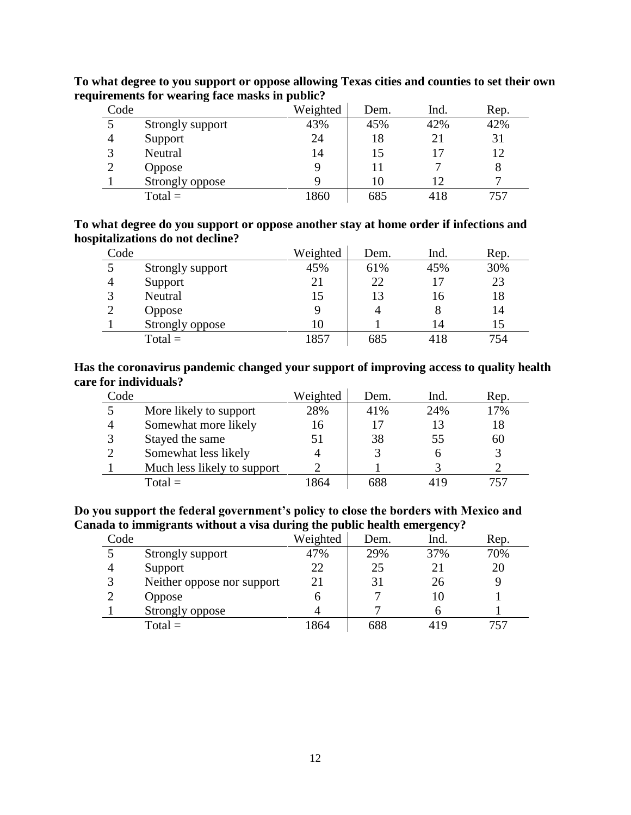| Code         |                  | . .<br>Weighted | Dem. | Ind.           | Rep. |
|--------------|------------------|-----------------|------|----------------|------|
|              | Strongly support | 43%             | 45%  | 42%            | 42%  |
| 4            | Support          | 24              | 18   | 2 <sub>1</sub> | 31   |
| $\mathbf{c}$ | Neutral          | 14              | 15   |                | 12   |
|              | <b>Oppose</b>    |                 | 11   |                |      |
|              | Strongly oppose  |                 | 10   |                |      |
|              | $Total =$        | 1860            | 685  | 418            |      |

**To what degree to you support or oppose allowing Texas cities and counties to set their own requirements for wearing face masks in public?**

**To what degree do you support or oppose another stay at home order if infections and hospitalizations do not decline?**

| Code         |                  | Weighted | Dem. | Ind. | Rep. |
|--------------|------------------|----------|------|------|------|
|              | Strongly support | 45%      | 61%  | 45%  | 30%  |
| 4            | Support          | 21       | 22   | 17   | 23   |
| $\mathbf{R}$ | Neutral          | 15       | 13   | 16   | 18   |
| $\gamma$     | <b>Oppose</b>    |          | 4    | 8    | 14   |
|              | Strongly oppose  | 10       |      | 14   |      |
|              | $Total =$        | 1857     | 685  | 418  | 754  |

### **Has the coronavirus pandemic changed your support of improving access to quality health care for individuals?**

| Code |                             | Weighted | Dem. | Ind. | Rep. |
|------|-----------------------------|----------|------|------|------|
|      | More likely to support      | 28%      | 41%  | 24%  | 17%  |
| 4    | Somewhat more likely        | 16       | 17   |      | 18   |
| 3    | Stayed the same             | 51       | 38   | 55   | 60   |
| ⌒    | Somewhat less likely        |          |      |      |      |
|      | Much less likely to support |          |      |      |      |
|      | $Total =$                   | 864      | 688  | 41 Q |      |

**Do you support the federal government's policy to close the borders with Mexico and Canada to immigrants without a visa during the public health emergency?**

| Code |                            | Weighted | Dem. | Ind. | Rep. |
|------|----------------------------|----------|------|------|------|
|      | Strongly support           | 47%      | 29%  | 37%  | 70%  |
|      | Support                    | 22       | 25   |      | 20   |
|      | Neither oppose nor support | 21       | 31   | 26   |      |
|      | <b>Oppose</b>              |          |      |      |      |
|      | Strongly oppose            |          |      |      |      |
|      | $Total =$                  | 1864     | 688  | 419  | 757. |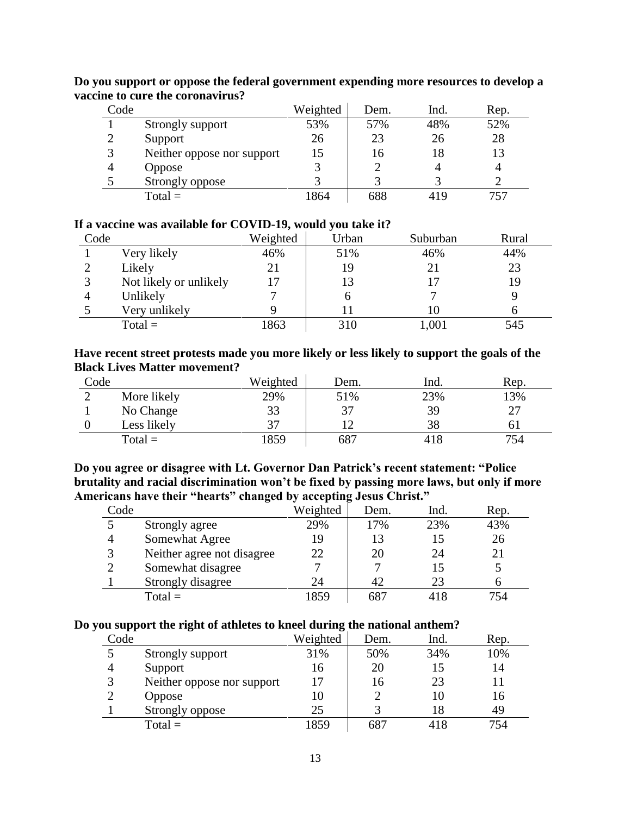| Code |                            | Weighted | Dem. | Ind. | Rep. |
|------|----------------------------|----------|------|------|------|
|      | Strongly support           | 53%      | 57%  | 48%  | 52%  |
| ∍    | Support                    | 26       | 23   | 26   | 28   |
| 3    | Neither oppose nor support | 15       | 16   | 18   | 13   |
|      | Oppose                     |          |      |      |      |
|      | Strongly oppose            |          |      |      |      |
|      | $Total =$                  | 1864     | 688  | 419  |      |

**Do you support or oppose the federal government expending more resources to develop a vaccine to cure the coronavirus?**

#### **If a vaccine was available for COVID-19, would you take it?**

| Code |                        | Weighted | Urban | Suburban | Rural |
|------|------------------------|----------|-------|----------|-------|
|      | Very likely            | 46%      | 51%   | 46%      | 44%   |
|      | Likely                 | 21       | 19    | 21       | 23    |
|      | Not likely or unlikely |          | 13    | 17       | 19    |
|      | Unlikely               |          | n     |          |       |
|      | Very unlikely          | Q        |       | 10       |       |
|      | $Total =$              | 1863     | 310   | 1,001    | 545   |

### **Have recent street protests made you more likely or less likely to support the goals of the Black Lives Matter movement?**

| Code |             | Weighted | Dem. | Ind. | Rep. |
|------|-------------|----------|------|------|------|
|      | More likely | 29%      | 51%  | 23%  | 13%  |
|      | No Change   | 33       | 37   | 39   | クワ   |
|      | Less likely | 37       |      | 38   | ΩI   |
|      | $Total =$   | 1859     | 687  | 418  | 754  |

**Do you agree or disagree with Lt. Governor Dan Patrick's recent statement: "Police brutality and racial discrimination won't be fixed by passing more laws, but only if more Americans have their "hearts" changed by accepting Jesus Christ."**

|      | $\overline{\phantom{a}}$   |          | o    |      |      |
|------|----------------------------|----------|------|------|------|
| Code |                            | Weighted | Dem. | Ind. | Rep. |
|      | Strongly agree             | 29%      | 17%  | 23%  | 43%  |
|      | Somewhat Agree             | 19       | 13   |      | 26   |
|      | Neither agree not disagree | 22       | 20   | 24   | 21   |
|      | Somewhat disagree          |          |      |      |      |
|      | Strongly disagree          | 24       | 42   | 23   |      |
|      | $Total =$                  | 1859     | 687  |      | 754  |

#### **Do you support the right of athletes to kneel during the national anthem?**

| Code |                            | Weighted | Dem. | Ind. | Rep. |
|------|----------------------------|----------|------|------|------|
|      | Strongly support           | 31%      | 50%  | 34%  | 10%  |
| 4    | Support                    | 16       | 20   | 15   | 14   |
| 3    | Neither oppose nor support | 17       | 16   | 23   |      |
| ↑    | <b>Oppose</b>              | 10       |      | 10   | 16   |
|      | Strongly oppose            | 25       |      |      | 49   |
|      | $Total =$                  | 1859     | 687  | 418  | 754  |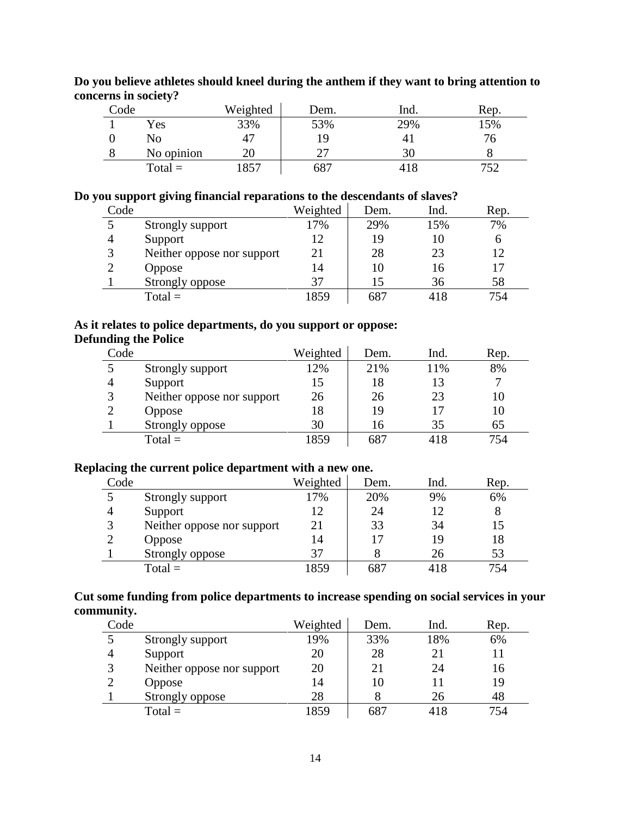| Code | $\cdot$    | Weighted | Dem. | Ind.           | Rep. |
|------|------------|----------|------|----------------|------|
|      | Yes        | 33%      | 53%  | 29%            | 5%   |
|      | No         | 47       | ١Q   | 4 <sub>1</sub> |      |
|      | No opinion | 20       |      | 30             |      |
|      | $Total =$  | 857      | 687  | 418            | 752  |

**Do you believe athletes should kneel during the anthem if they want to bring attention to concerns in society?**

# **Do you support giving financial reparations to the descendants of slaves?**

| Code |                            | Weighted | Dem. | Ind. | Rep. |
|------|----------------------------|----------|------|------|------|
|      | Strongly support           | 17%      | 29%  | 15%  | 7%   |
|      | Support                    | 12       | 19   |      | 6    |
|      | Neither oppose nor support | 21       | 28   | 23   | 12   |
|      | <b>Oppose</b>              | 14       | 10   | 16   | 17   |
|      | Strongly oppose            | 37       |      | 36   | 58   |
|      | $Total =$                  | 1859     | 687  | 418  | 754  |

# **As it relates to police departments, do you support or oppose: Defunding the Police**

| Code |                            | Weighted | Dem. | Ind. | Rep. |
|------|----------------------------|----------|------|------|------|
|      | Strongly support           | 12%      | 21%  | 11%  | 8%   |
|      | Support                    | 15       | 18   |      |      |
|      | Neither oppose nor support | 26       | 26   | 23   | 10   |
|      | <b>Oppose</b>              | 18       | 19   |      | 10   |
|      | Strongly oppose            | 30       | 16   | 35   | 65   |
|      | $Total =$                  | 1859     | 687  | 418  | 754  |

# **Replacing the current police department with a new one.**

| Code |                            | Weighted | Dem. | Ind. | Rep. |
|------|----------------------------|----------|------|------|------|
|      | Strongly support           | 17%      | 20%  | 9%   | 6%   |
|      | Support                    | 12       | 24   |      |      |
|      | Neither oppose nor support | 21       | 33   | 34   | 15   |
|      | <b>Oppose</b>              | 14       |      | 19   | 18   |
|      | Strongly oppose            | 37       |      | 26   | 53   |
|      | $Total =$                  | 859      | 687  | 418  | 754  |

# **Cut some funding from police departments to increase spending on social services in your community.**

| Code |                            | Weighted | Dem. | Ind. | Rep. |
|------|----------------------------|----------|------|------|------|
|      | Strongly support           | 19%      | 33%  | 18%  | 6%   |
|      | Support                    | 20       | 28   | 21   |      |
|      | Neither oppose nor support | 20       | 21   | 24   | 16   |
|      | <b>Oppose</b>              | 14       | 10   |      | 19   |
|      | Strongly oppose            | 28       |      | 26   | 48   |
|      | $Total =$                  | 1859     | 687  | 418  | 754  |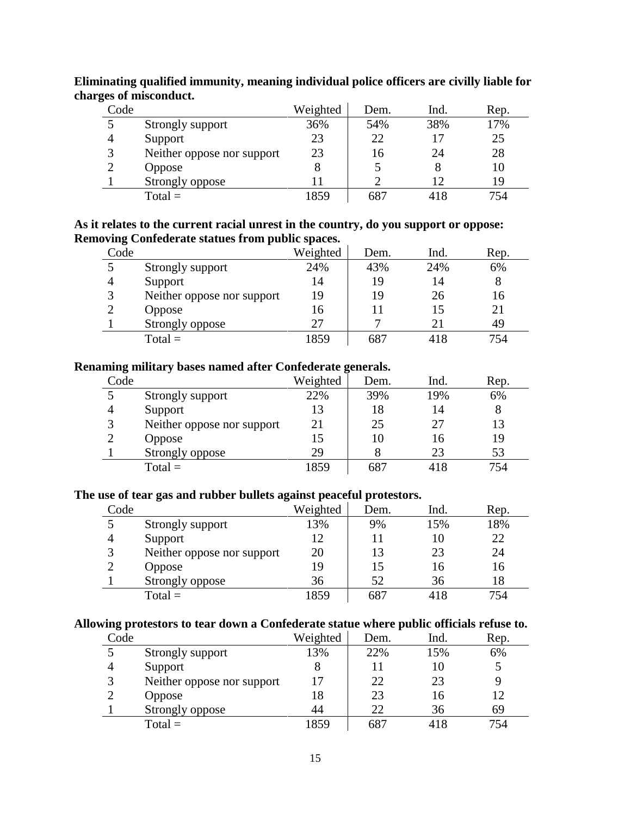| Code         |                            | Weighted | Dem. | Ind. | Rep. |
|--------------|----------------------------|----------|------|------|------|
|              | Strongly support           | 36%      | 54%  | 38%  | 17%  |
|              | Support                    | 23       | 22   |      | 25   |
| $\mathbf{R}$ | Neither oppose nor support | 23       | 16   | 24   | 28   |
|              | <b>Oppose</b>              | 8        |      |      | 10   |
|              | Strongly oppose            |          |      |      | 19   |
|              | $Total =$                  | 1859     | 687  |      | 754  |

**Eliminating qualified immunity, meaning individual police officers are civilly liable for charges of misconduct.**

### **As it relates to the current racial unrest in the country, do you support or oppose: Removing Confederate statues from public spaces.**

| Code |                            | Weighted | Dem. | Ind. | Rep. |
|------|----------------------------|----------|------|------|------|
|      | Strongly support           | 24%      | 43%  | 24%  | 6%   |
|      | Support                    | 14       | 19   | 14   |      |
|      | Neither oppose nor support | 19       | 19   | 26   | 16   |
|      | Oppose                     | 16       |      | 15   |      |
|      | Strongly oppose            | 27       |      | 21   | 49   |
|      | $Total =$                  | 1859     | 687  | 418  | 754  |

#### **Renaming military bases named after Confederate generals.**

| Code |                            | Weighted | Dem. | Ind. | Rep. |
|------|----------------------------|----------|------|------|------|
|      | Strongly support           | 22%      | 39%  | 19%  | 6%   |
|      | Support                    | 13       | 18   | 14   |      |
|      | Neither oppose nor support | 21       | 25   | 27   | 13   |
|      | Oppose                     | 15       | 10   | 16   | 19   |
|      | Strongly oppose            | 29       |      | 23   | 53   |
|      | $Total =$                  | 1859     | 687  | 418  | 754  |

#### **The use of tear gas and rubber bullets against peaceful protestors.**

|      |                            | ີ        |      |      |      |  |
|------|----------------------------|----------|------|------|------|--|
| Code |                            | Weighted | Dem. | Ind. | Rep. |  |
|      | Strongly support           | 13%      | 9%   | 15%  | 18%  |  |
|      | Support                    | 12       |      | 10   | 22   |  |
|      | Neither oppose nor support | 20       | 13   | 23   | 24   |  |
|      | <b>Oppose</b>              | 19       | 15   | 16   | 16   |  |
|      | Strongly oppose            | 36       | 52   | 36   | 18   |  |
|      | $Total =$                  | 859      | 687  | 418  | 754  |  |

#### **Allowing protestors to tear down a Confederate statue where public officials refuse to.**

| Code |                            | Weighted | Dem. | Ind. | Rep. |
|------|----------------------------|----------|------|------|------|
|      | Strongly support           | 13%      | 22%  | 15%  | 6%   |
|      | Support                    |          |      | 10   |      |
| 3    | Neither oppose nor support | 17       | 22   | 23   |      |
|      | <b>Oppose</b>              | 18       | 23   | 16   | 12   |
|      | Strongly oppose            | 44       | 22   | 36   | 69   |
|      | $Total =$                  | 1859     | 687  | 418  | 754  |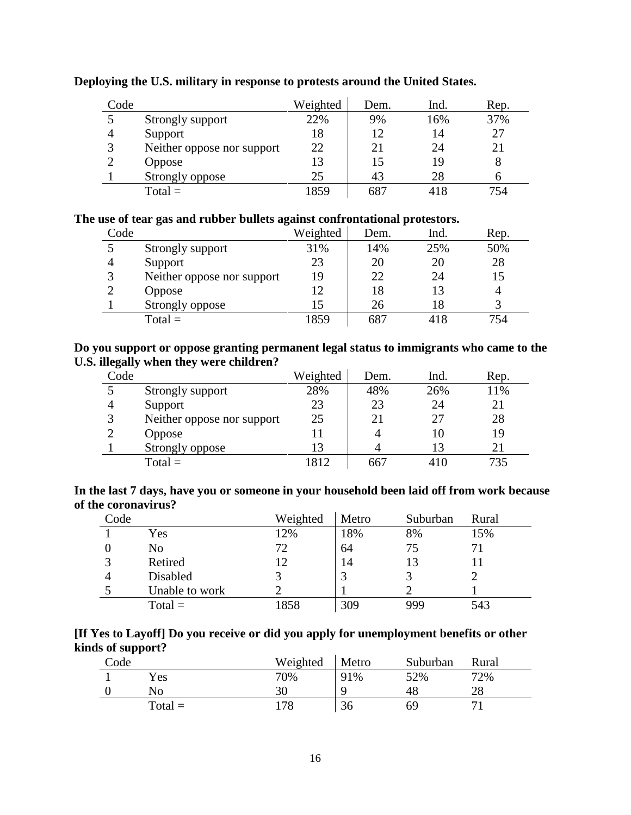| Code          |                            | Weighted | Dem. | Ind. | Rep. |
|---------------|----------------------------|----------|------|------|------|
|               | Strongly support           | 22%      | 9%   | 16%  | 37%  |
|               | Support                    | 18       | 12   | 14   | 27   |
| $\mathcal{R}$ | Neither oppose nor support | 22       | 21   | 24   | 21   |
|               | Oppose                     | 13       | 15   | 19   |      |
|               | Strongly oppose            | 25       | 43   | 28   |      |
|               | $Total =$                  | 1859     | 687  |      | 754  |

# **Deploying the U.S. military in response to protests around the United States.**

# **The use of tear gas and rubber bullets against confrontational protestors.**

| Code |                            | Weighted | Dem. | Ind. | Rep. |
|------|----------------------------|----------|------|------|------|
|      | Strongly support           | 31%      | 14%  | 25%  | 50%  |
|      | Support                    | 23       | 20   | 20   | 28   |
|      | Neither oppose nor support | 19       | 22   | 24   | 15   |
|      | <b>Oppose</b>              | 12       | 18   |      |      |
|      | Strongly oppose            | 15       | 26   | 18   |      |
|      | $Total =$                  | 1859     | 687  | 418  | 754  |

# **Do you support or oppose granting permanent legal status to immigrants who came to the U.S. illegally when they were children?**

| Code          |                            | Weighted | Dem. | Ind. | Rep. |
|---------------|----------------------------|----------|------|------|------|
|               | Strongly support           | 28%      | 48%  | 26%  | 11%  |
|               | Support                    | 23       | 23   | 24   | 21   |
| $\mathcal{R}$ | Neither oppose nor support | 25       | 21   | 27   | 28   |
|               | <b>Oppose</b>              |          |      |      | 19   |
|               | Strongly oppose            | 13       |      | 13   |      |
|               | $Total =$                  | 1812     | 667  | 410  | 735  |

| In the last 7 days, have you or someone in your household been laid off from work because |  |  |  |  |  |
|-------------------------------------------------------------------------------------------|--|--|--|--|--|
| of the coronavirus?                                                                       |  |  |  |  |  |

| Code |                | Weighted | Metro | Suburban | Rural |
|------|----------------|----------|-------|----------|-------|
|      | Yes            | 12%      | 18%   | 8%       | 15%   |
|      | No             | 72       | 64    | 75       |       |
|      | Retired        | 12       | 14    | 13       |       |
| 4    | Disabled       |          |       |          |       |
|      | Unable to work |          |       |          |       |
|      | $Total =$      | 1858     | 309   | 999      | 543   |

| [If Yes to Layoff] Do you receive or did you apply for unemployment benefits or other |  |
|---------------------------------------------------------------------------------------|--|
| kinds of support?                                                                     |  |

| Code |           | Weighted | Metro | Suburban | Rural |
|------|-----------|----------|-------|----------|-------|
|      | Yes       | 70%      | 91%   | 52%      | 72%   |
|      | No        | 30       | Q     | 48       | 28    |
|      | $Total =$ | 178      | 36    | 69       |       |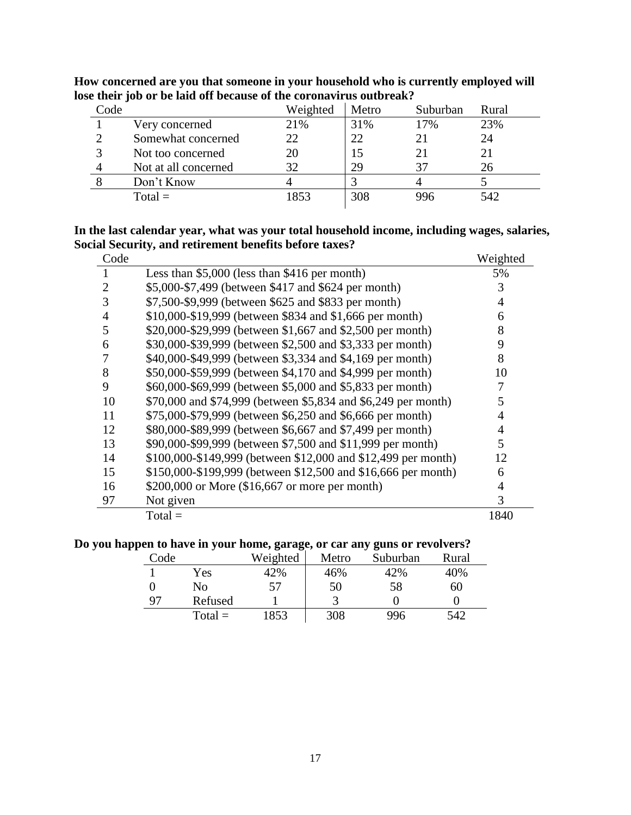| Code |                      | Weighted | Metro | Suburban | Rural |
|------|----------------------|----------|-------|----------|-------|
|      | Very concerned       | 21%      | 31%   | 17%      | 23%   |
|      | Somewhat concerned   | 22       | 22    |          | 24    |
|      | Not too concerned    | 20       | 15    |          | 21    |
|      | Not at all concerned | 32.      | 29    |          | 26    |
|      | Don't Know           |          |       |          |       |
|      | $Total =$            | 1853     | 308   | 996      | 542   |

**How concerned are you that someone in your household who is currently employed will lose their job or be laid off because of the coronavirus outbreak?**

# **In the last calendar year, what was your total household income, including wages, salaries, Social Security, and retirement benefits before taxes?**

| Code           |                                                               | Weighted |
|----------------|---------------------------------------------------------------|----------|
|                | Less than $$5,000$ (less than $$416$ per month)               | 5%       |
| $\overline{2}$ | \$5,000-\$7,499 (between \$417 and \$624 per month)           | 3        |
| 3              | \$7,500-\$9,999 (between \$625 and \$833 per month)           | 4        |
| $\overline{4}$ | \$10,000-\$19,999 (between \$834 and \$1,666 per month)       | 6        |
| 5              | \$20,000-\$29,999 (between \$1,667 and \$2,500 per month)     | 8        |
| 6              | \$30,000-\$39,999 (between \$2,500 and \$3,333 per month)     | 9        |
| 7              | \$40,000-\$49,999 (between \$3,334 and \$4,169 per month)     | 8        |
| 8              | \$50,000-\$59,999 (between \$4,170 and \$4,999 per month)     | 10       |
| 9              | \$60,000-\$69,999 (between \$5,000 and \$5,833 per month)     |          |
| 10             | \$70,000 and \$74,999 (between \$5,834 and \$6,249 per month) | 5        |
| 11             | \$75,000-\$79,999 (between \$6,250 and \$6,666 per month)     | 4        |
| 12             | \$80,000-\$89,999 (between \$6,667 and \$7,499 per month)     | 4        |
| 13             | \$90,000-\$99,999 (between \$7,500 and \$11,999 per month)    | 5        |
| 14             | \$100,000-\$149,999 (between \$12,000 and \$12,499 per month) | 12       |
| 15             | \$150,000-\$199,999 (between \$12,500 and \$16,666 per month) | 6        |
| 16             | \$200,000 or More $(\$16,667$ or more per month)              | 4        |
| 97             | Not given                                                     | 3        |
|                | $Total =$                                                     | 1840     |

### **Do you happen to have in your home, garage, or car any guns or revolvers?**

| Code |           | Weighted | Metro | Suburban | Rural |
|------|-----------|----------|-------|----------|-------|
|      | Yes       | 42%      | 46%   | 42%      | 40%   |
|      | No        | 57       | 50    | 58       | 60    |
| 97   | Refused   |          |       |          |       |
|      | $Total =$ | 1853     | 308   | 996      | 542   |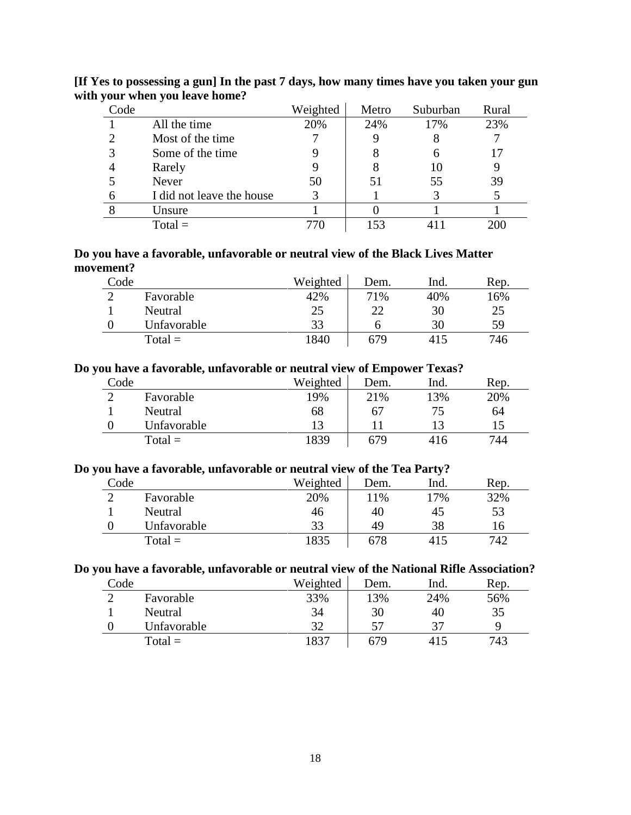| Code |                           | Weighted | Metro | Suburban | Rural |
|------|---------------------------|----------|-------|----------|-------|
|      | All the time              | 20%      | 24%   | 17%      | 23%   |
|      | Most of the time          |          |       |          |       |
|      | Some of the time          |          | 8     |          |       |
|      | Rarely                    |          |       | 10       |       |
|      | Never                     | 50       | 51    | 55       | 39    |
|      | I did not leave the house |          |       |          |       |
|      | Unsure                    |          |       |          |       |
|      | Total =                   |          | 153   |          |       |

**[If Yes to possessing a gun] In the past 7 days, how many times have you taken your gun with your when you leave home?**

#### **Do you have a favorable, unfavorable or neutral view of the Black Lives Matter movement?**

| Code |             | Weighted | Dem. | Ind. | Rep. |
|------|-------------|----------|------|------|------|
|      | Favorable   | 42%      | 71%  | 40%  | 16%  |
|      | Neutral     | 25       | 22   | 30   | 25   |
|      | Unfavorable | 33       |      | 30   | 59   |
|      | $Total =$   | 1840     | 679  | 415  | 746  |

#### **Do you have a favorable, unfavorable or neutral view of Empower Texas?**

| Code |             | Weighted | Dem. | Ind. | Rep. |
|------|-------------|----------|------|------|------|
|      | Favorable   | 19%      | 21%  | 13%  | 20%  |
|      | Neutral     | 68       | 67   |      | 64   |
|      | Unfavorable | 13       |      |      |      |
|      | $Total =$   | 1839     | 679  | 416  | 744  |

#### **Do you have a favorable, unfavorable or neutral view of the Tea Party?**

| Code        | Weighted | Dem. | Ind.         | Rep. |
|-------------|----------|------|--------------|------|
| Favorable   | 20%      | 11%  | $7\%$        | 32%  |
| Neutral     | 46       | 40   | 45           | 53   |
| Unfavorable | 33       | 49   | 38           | 16   |
| $Total =$   | 1835     | 678  | $41^{\circ}$ | 742  |

# **Do you have a favorable, unfavorable or neutral view of the National Rifle Association?**

| Code |             | Weighted | Dem. | Ind. | Rep. |
|------|-------------|----------|------|------|------|
|      | Favorable   | 33%      | 13%  | 24%  | 56%  |
|      | Neutral     | 34       | 30   | 40   | 35   |
|      | Unfavorable | 32       | 57   | 27   |      |
|      | $Total =$   | 1837     | 679  | 415  | 743  |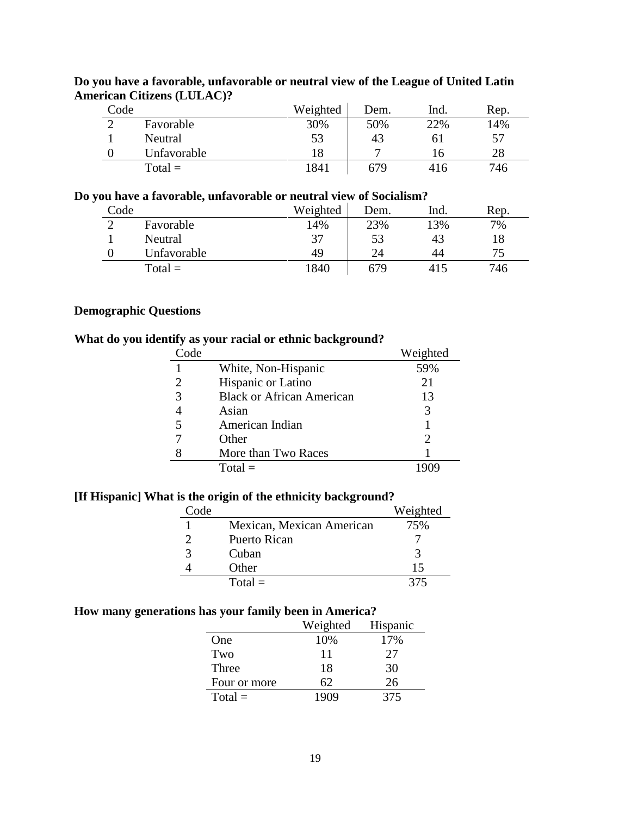| Code |             | Weighted | Dem. | Ind. | Rep. |
|------|-------------|----------|------|------|------|
|      | Favorable   | 30%      | 50%  | 22%  | 14%  |
|      | Neutral     | 53       | 43   |      | 57   |
|      | Unfavorable | 18       | −    | . რ  | 28   |
|      | $Total =$   | 1841     | 679  | 416  | 746  |

# **Do you have a favorable, unfavorable or neutral view of the League of United Latin American Citizens (LULAC)?**

# **Do you have a favorable, unfavorable or neutral view of Socialism?**

| Code |             | Weighted | Dem. | Ind. | Rep. |
|------|-------------|----------|------|------|------|
|      | Favorable   | 14%      | 23%  | 13%  | 7%   |
|      | Neutral     | 37       | 53   | 43   | 18   |
|      | Unfavorable | 49       | 24   | 44   | 75   |
|      | $Total =$   | 1840     | 679  | 415  | 746  |

# **Demographic Questions**

### **What do you identify as your racial or ethnic background?**

| Code |                                  | Weighted                    |
|------|----------------------------------|-----------------------------|
|      | White, Non-Hispanic              | 59%                         |
|      | Hispanic or Latino               | 21                          |
| 3    | <b>Black or African American</b> | 13                          |
|      | Asian                            | 3                           |
|      | American Indian                  |                             |
|      | Other                            | $\mathcal{D}_{\mathcal{A}}$ |
|      | More than Two Races              |                             |
|      | $Total =$                        |                             |

# **[If Hispanic] What is the origin of the ethnicity background?**

| Code |                           | Weighted |
|------|---------------------------|----------|
|      | Mexican, Mexican American | 75%      |
|      | Puerto Rican              |          |
|      | Cuban                     |          |
|      | Other                     | 15       |
|      | $Total =$                 | 375      |

# **How many generations has your family been in America?**

|              | Weighted | Hispanic |
|--------------|----------|----------|
| One          | 10%      | 17%      |
| Two          | 11       | 27       |
| Three        | 18       | 30       |
| Four or more | 62       | 26       |
| $Total =$    | 1909     | 375      |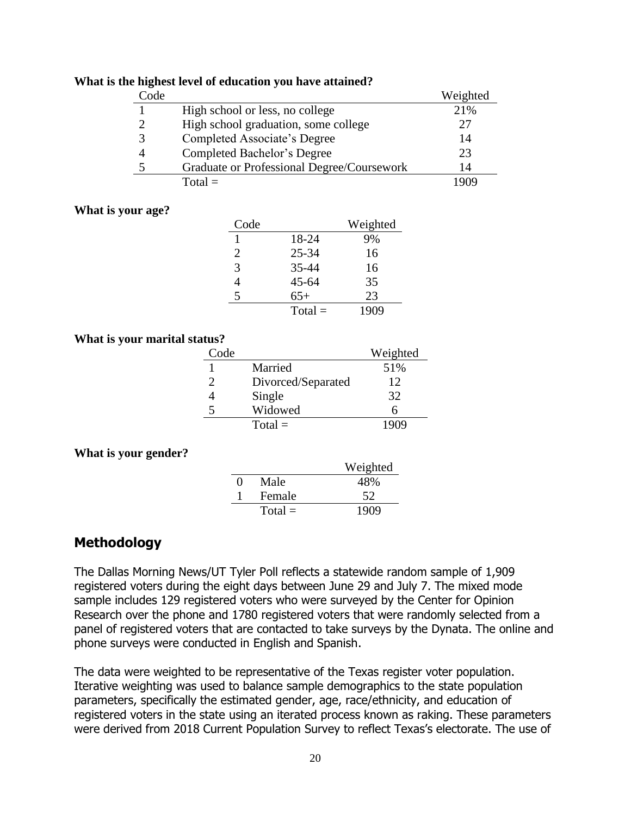|  | What is the highest level of education you have attained? |  |
|--|-----------------------------------------------------------|--|
|  |                                                           |  |

| Code |                                            | Weighted |
|------|--------------------------------------------|----------|
|      | High school or less, no college            | 21%      |
|      | High school graduation, some college       | 27       |
|      | Completed Associate's Degree               | 14       |
|      | Completed Bachelor's Degree                | 23       |
|      | Graduate or Professional Degree/Coursework | 14       |
|      | $Total =$                                  |          |

#### **What is your age?**

| Code |           | Weighted |
|------|-----------|----------|
|      | 18-24     | 9%       |
| 2    | $25 - 34$ | 16       |
| 3    | 35-44     | 16       |
| 4    | $45 - 64$ | 35       |
| 5    | $65+$     | 23       |
|      | $Total =$ | 1909     |

### **What is your marital status?**

| Code |                    | Weighted |
|------|--------------------|----------|
|      | Married            | 51%      |
| 2    | Divorced/Separated | 12       |
|      | Single             | 32       |
|      | Widowed            |          |
|      | $Total =$          |          |

### **What is your gender?**

|                   |           | Weighted |
|-------------------|-----------|----------|
| $\mathbf{\Omega}$ | Male      | 48%      |
|                   | Female    | 52       |
|                   | $Total =$ | 1909     |

# **Methodology**

The Dallas Morning News/UT Tyler Poll reflects a statewide random sample of 1,909 registered voters during the eight days between June 29 and July 7. The mixed mode sample includes 129 registered voters who were surveyed by the Center for Opinion Research over the phone and 1780 registered voters that were randomly selected from a panel of registered voters that are contacted to take surveys by the Dynata. The online and phone surveys were conducted in English and Spanish.

The data were weighted to be representative of the Texas register voter population. Iterative weighting was used to balance sample demographics to the state population parameters, specifically the estimated gender, age, race/ethnicity, and education of registered voters in the state using an iterated process known as raking. These parameters were derived from 2018 Current Population Survey to reflect Texas's electorate. The use of